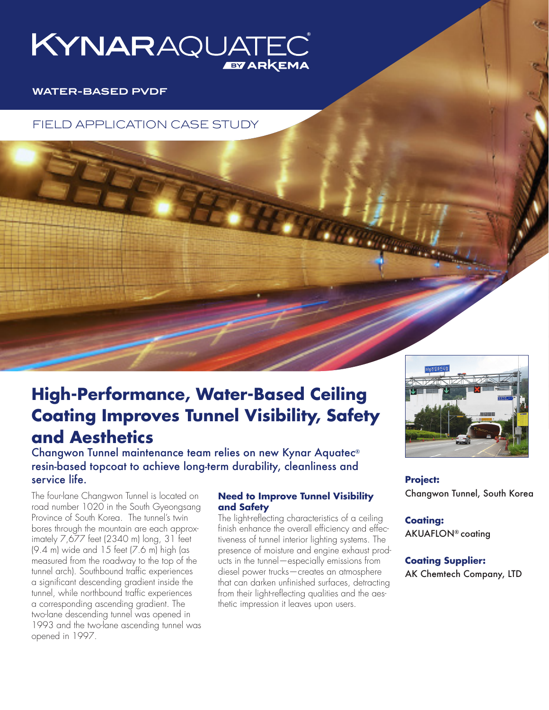

## **WATER-BASED PVDF**

FIELD APPLICATION CASE STUDY

# **High-Performance, Water-Based Ceiling Coating Improves Tunnel Visibility, Safety and Aesthetics**

Changwon Tunnel maintenance team relies on new Kynar Aquatec® resin-based topcoat to achieve long-term durability, cleanliness and service life.

The four-lane Changwon Tunnel is located on road number 1020 in the South Gyeongsang Province of South Korea. The tunnel's twin bores through the mountain are each approximately 7,677 feet (2340 m) long, 31 feet (9.4 m) wide and 15 feet (7.6 m) high (as measured from the roadway to the top of the tunnel arch). Southbound traffic experiences a significant descending gradient inside the tunnel, while northbound traffic experiences a corresponding ascending gradient. The two-lane descending tunnel was opened in 1993 and the two-lane ascending tunnel was opened in 1997.

## **Need to Improve Tunnel Visibility and Safety**

The light-reflecting characteristics of a ceiling finish enhance the overall efficiency and effectiveness of tunnel interior lighting systems. The presence of moisture and engine exhaust products in the tunnel—especially emissions from diesel power trucks—creates an atmosphere that can darken unfinished surfaces, detracting from their light-reflecting qualities and the aesthetic impression it leaves upon users.



**Project:** Changwon Tunnel, South Korea

**Coating:** AKUAFLON® coating

**Coating Supplier:** AK Chemtech Company, LTD